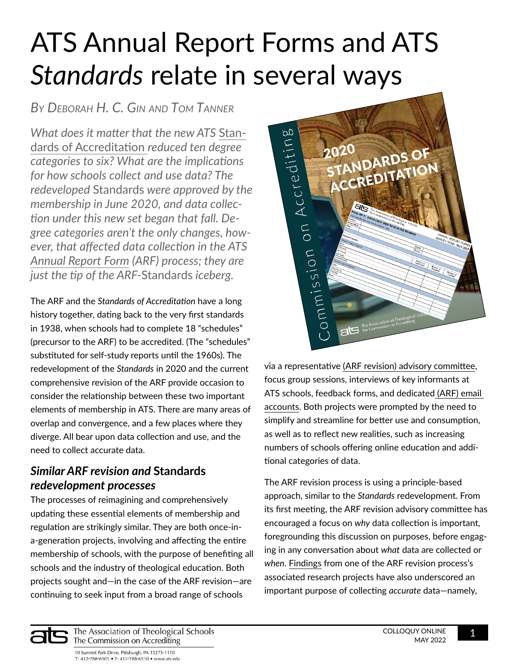# ATS Annual Report Forms and ATS *Standards* relate in several ways

## *By Deborah H. C. Gin and Tom Tanner*

*What does it matter that the new ATS* [Stan](https://www.ats.edu/Standards-Of-Accreditation)[dards of Accreditation](https://www.ats.edu/Standards-Of-Accreditation) *reduced ten degree categories to six? What are the implications for how schools collect and use data? The redeveloped* Standards *were approved by the membership in June 2020, and data collection under this new set began that fall. Degree categories aren't the only changes, however, that affected data collection in the ATS [Annual Report Form](https://www.ats.edu/Annual-Report-Forms-and-Instructions) (ARF) process; they are just the tip of the ARF-*Standards *iceberg.*

The ARF and the *Standards of Accreditation* have a long history together, dating back to the very first standards in 1938, when schools had to complete 18 "schedules" (precursor to the ARF) to be accredited. (The "schedules" substituted for self-study reports until the 1960s). The redevelopment of the *Standards* in 2020 and the current comprehensive revision of the ARF provide occasion to consider the relationship between these two important elements of membership in ATS. There are many areas of overlap and convergence, and a few places where they diverge. All bear upon data collection and use, and the need to collect accurate data.

### *Similar ARF revision and* **Standards** *redevelopment processes*

The processes of reimagining and comprehensively updating these essential elements of membership and regulation are strikingly similar. They are both once-ina-generation projects, involving and affecting the entire membership of schools, with the purpose of benefiting all schools and the industry of theological education. Both projects sought and—in the case of the ARF revision—are continuing to seek input from a broad range of schools



via a representative [\(ARF revision\) advisory committee](https://www.ats.edu/files/galleries/ats-arf-to-receive-major-revisions.pdf), focus group sessions, interviews of key informants at ATS schools, feedback forms, and dedicated [\(ARF\) email](mailto:arfmail%40ats.edu?subject=)  [accounts](mailto:arfmail%40ats.edu?subject=). Both projects were prompted by the need to simplify and streamline for better use and consumption, as well as to reflect new realities, such as increasing numbers of schools offering online education and additional categories of data.

The ARF revision process is using a principle-based approach, similar to the *Standards* redevelopment. From its first meeting, the ARF revision advisory committee has encouraged a focus on *why* data collection is important, foregrounding this discussion on purposes, before engaging in any conversation about *what* data are collected or *when*. [Findings](https://www.ats.edu/files/galleries/project-explores-data-relationships-at-ats-schools.pdf) from one of the ARF revision process's associated research projects have also underscored an important purpose of collecting *accurate* data—namely,



The Association of Theological Schools The Commission on Accrediting

10 Summit Park Drive, Pittsburgh, PA 15275-1110 T: 412-788-6505 • F: 412-788-6510 • www.ats.edu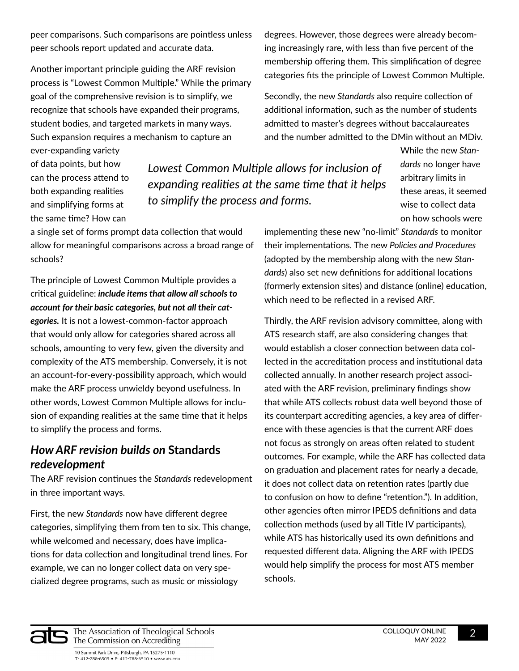peer comparisons. Such comparisons are pointless unless peer schools report updated and accurate data.

Another important principle guiding the ARF revision process is "Lowest Common Multiple." While the primary goal of the comprehensive revision is to simplify, we recognize that schools have expanded their programs, student bodies, and targeted markets in many ways. Such expansion requires a mechanism to capture an

ever-expanding variety of data points, but how can the process attend to both expanding realities and simplifying forms at the same time? How can

schools?

*Lowest Common Multiple allows for inclusion of expanding realities at the same time that it helps to simplify the process and forms.* 

While the new *Standards* no longer have arbitrary limits in these areas, it seemed wise to collect data on how schools were

implementing these new "no-limit" *Standards* to monitor their implementations. The new *Policies and Procedures* (adopted by the membership along with the new *Standards*) also set new definitions for additional locations (formerly extension sites) and distance (online) education, which need to be reflected in a revised ARF.

degrees. However, those degrees were already becoming increasingly rare, with less than five percent of the membership offering them. This simplification of degree categories fits the principle of Lowest Common Multiple.

Secondly, the new *Standards* also require collection of additional information, such as the number of students admitted to master's degrees without baccalaureates and the number admitted to the DMin without an MDiv.

Thirdly, the ARF revision advisory committee, along with ATS research staff, are also considering changes that would establish a closer connection between data collected in the accreditation process and institutional data collected annually. In another research project associated with the ARF revision, preliminary findings show that while ATS collects robust data well beyond those of its counterpart accrediting agencies, a key area of difference with these agencies is that the current ARF does not focus as strongly on areas often related to student outcomes. For example, while the ARF has collected data on graduation and placement rates for nearly a decade, it does not collect data on retention rates (partly due to confusion on how to define "retention."). In addition, other agencies often mirror IPEDS definitions and data collection methods (used by all Title IV participants), while ATS has historically used its own definitions and requested different data. Aligning the ARF with IPEDS would help simplify the process for most ATS member schools.

The principle of Lowest Common Multiple provides a critical guideline: *include items that allow all schools to account for their basic categories, but not all their categories.* It is not a lowest-common-factor approach that would only allow for categories shared across all schools, amounting to very few, given the diversity and complexity of the ATS membership. Conversely, it is not an account-for-every-possibility approach, which would make the ARF process unwieldy beyond usefulness. In other words, Lowest Common Multiple allows for inclusion of expanding realities at the same time that it helps to simplify the process and forms.

a single set of forms prompt data collection that would allow for meaningful comparisons across a broad range of

#### *How ARF revision builds on* **Standards** *redevelopment*

The ARF revision continues the *Standards* redevelopment in three important ways.

First, the new *Standards* now have different degree categories, simplifying them from ten to six. This change, while welcomed and necessary, does have implications for data collection and longitudinal trend lines. For example, we can no longer collect data on very specialized degree programs, such as music or missiology

> The Association of Theological Schools The Commission on Accrediting